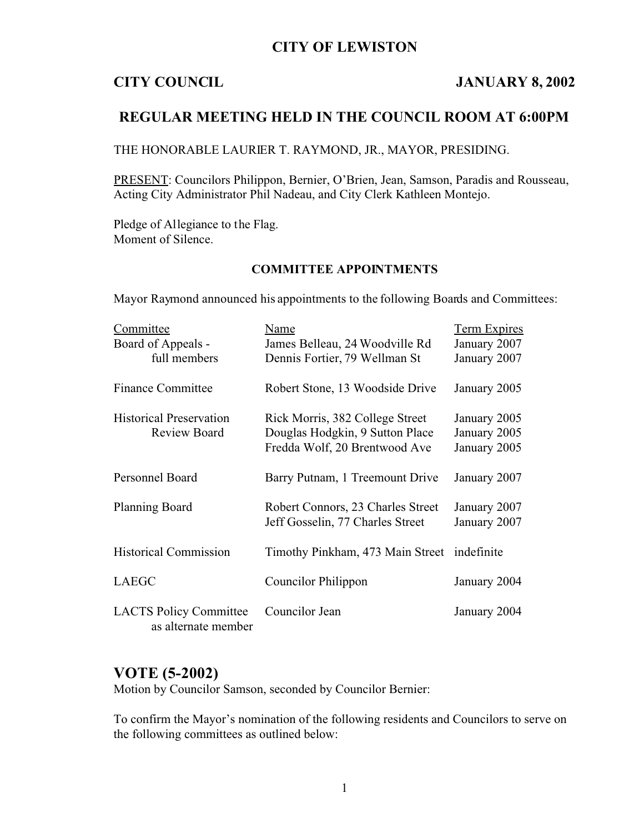### **CITY OF LEWISTON**

### **CITY COUNCIL JANUARY 8, 2002**

# **REGULAR MEETING HELD IN THE COUNCIL ROOM AT 6:00PM**

THE HONORABLE LAURIER T. RAYMOND, JR., MAYOR, PRESIDING.

PRESENT: Councilors Philippon, Bernier, O'Brien, Jean, Samson, Paradis and Rousseau, Acting City Administrator Phil Nadeau, and City Clerk Kathleen Montejo.

Pledge of Allegiance to the Flag. Moment of Silence.

### **COMMITTEE APPOINTMENTS**

Mayor Raymond announced his appointments to the following Boards and Committees:

| Committee                                            | Name                                        | <b>Term Expires</b> |
|------------------------------------------------------|---------------------------------------------|---------------------|
| Board of Appeals -                                   | James Belleau, 24 Woodville Rd              | January 2007        |
| full members                                         | Dennis Fortier, 79 Wellman St               | January 2007        |
| <b>Finance Committee</b>                             | Robert Stone, 13 Woodside Drive             | January 2005        |
| <b>Historical Preservation</b>                       | Rick Morris, 382 College Street             | January 2005        |
| Review Board                                         | Douglas Hodgkin, 9 Sutton Place             | January 2005        |
|                                                      | Fredda Wolf, 20 Brentwood Ave               | January 2005        |
| <b>Personnel Board</b>                               | Barry Putnam, 1 Treemount Drive             | January 2007        |
| <b>Planning Board</b>                                | Robert Connors, 23 Charles Street           | January 2007        |
|                                                      | Jeff Gosselin, 77 Charles Street            | January 2007        |
| <b>Historical Commission</b>                         | Timothy Pinkham, 473 Main Street indefinite |                     |
| <b>LAEGC</b>                                         | Councilor Philippon                         | January 2004        |
| <b>LACTS Policy Committee</b><br>as alternate member | Councilor Jean                              | January 2004        |

# **VOTE (5-2002)**

Motion by Councilor Samson, seconded by Councilor Bernier:

To confirm the Mayor's nomination of the following residents and Councilors to serve on the following committees as outlined below: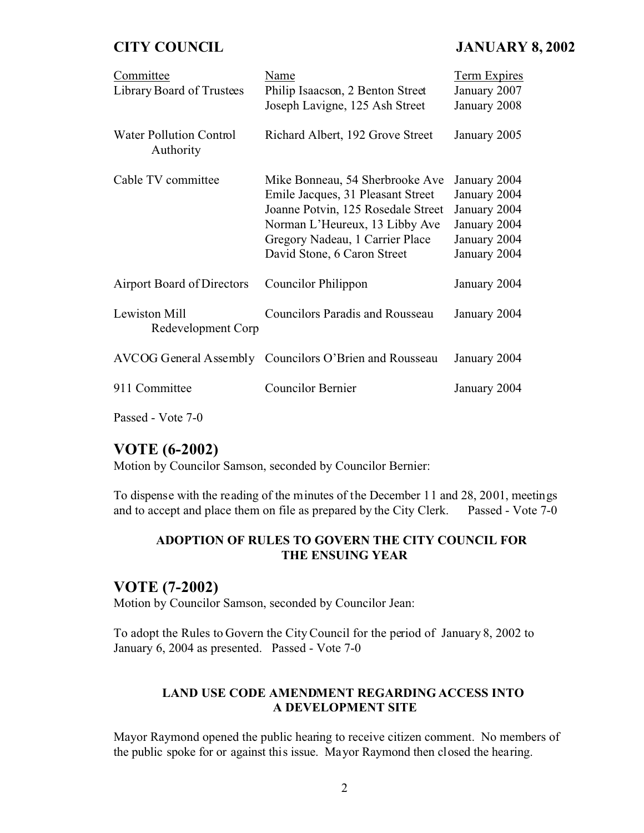## **CITY COUNCIL JANUARY 8, 2002**

| Committee<br>Library Board of Trustees                          | Name<br>Philip Isaacson, 2 Benton Street<br>Joseph Lavigne, 125 Ash Street                                                                                                                                     | <b>Term Expires</b><br>January 2007<br>January 2008                                          |
|-----------------------------------------------------------------|----------------------------------------------------------------------------------------------------------------------------------------------------------------------------------------------------------------|----------------------------------------------------------------------------------------------|
| <b>Water Pollution Control</b><br>Authority                     | Richard Albert, 192 Grove Street                                                                                                                                                                               | January 2005                                                                                 |
| Cable TV committee                                              | Mike Bonneau, 54 Sherbrooke Ave<br>Emile Jacques, 31 Pleasant Street<br>Joanne Potvin, 125 Rosedale Street<br>Norman L'Heureux, 13 Libby Ave<br>Gregory Nadeau, 1 Carrier Place<br>David Stone, 6 Caron Street | January 2004<br>January 2004<br>January 2004<br>January 2004<br>January 2004<br>January 2004 |
| Airport Board of Directors                                      | Councilor Philippon                                                                                                                                                                                            | January 2004                                                                                 |
| Lewiston Mill<br>Redevelopment Corp                             | <b>Councilors Paradis and Rousseau</b>                                                                                                                                                                         | January 2004                                                                                 |
|                                                                 | AVCOG General Assembly Councilors O'Brien and Rousseau                                                                                                                                                         | January 2004                                                                                 |
| 911 Committee                                                   | Councilor Bernier                                                                                                                                                                                              | January 2004                                                                                 |
| $\Gamma_{\text{exact}}$ $\Gamma_{\text{data}}$ $\tau$ $\Lambda$ |                                                                                                                                                                                                                |                                                                                              |

Passed - Vote 7-0

# **VOTE (6-2002)**

Motion by Councilor Samson, seconded by Councilor Bernier:

To dispense with the reading of the minutes of the December 11 and 28, 2001, meetings and to accept and place them on file as prepared by the City Clerk. Passed - Vote 7-0

#### **ADOPTION OF RULES TO GOVERN THE CITY COUNCIL FOR THE ENSUING YEAR**

### **VOTE (7-2002)**

Motion by Councilor Samson, seconded by Councilor Jean:

To adopt the Rules to Govern the City Council for the period of January 8, 2002 to January 6, 2004 as presented. Passed - Vote 7-0

#### **LAND USE CODE AMENDMENT REGARDING ACCESS INTO A DEVELOPMENT SITE**

Mayor Raymond opened the public hearing to receive citizen comment. No members of the public spoke for or against this issue. Mayor Raymond then closed the hearing.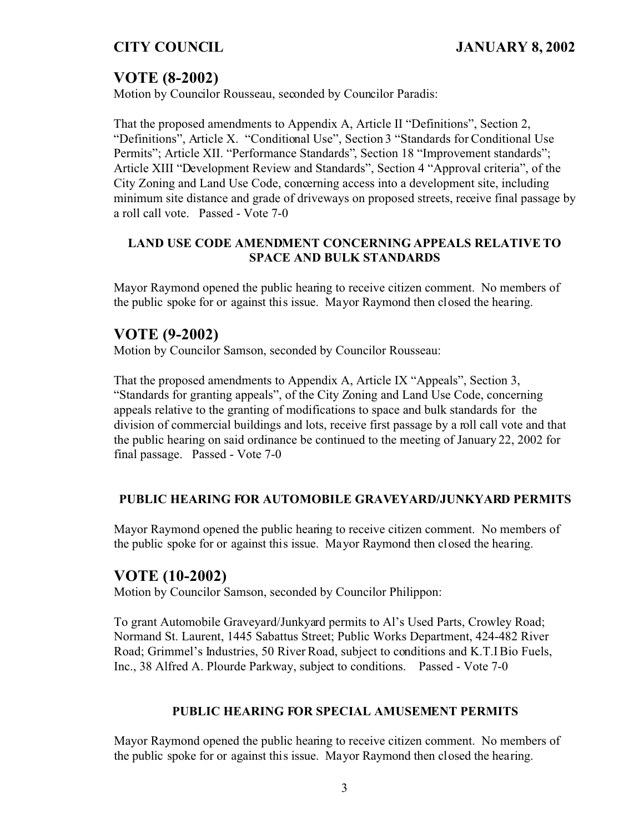# **VOTE (8-2002)**

Motion by Councilor Rousseau, seconded by Councilor Paradis:

That the proposed amendments to Appendix A, Article II "Definitions", Section 2, "Definitions", Article X. "Conditional Use", Section 3 "Standards for Conditional Use Permits"; Article XII. "Performance Standards", Section 18 "Improvement standards"; Article XIII "Development Review and Standards", Section 4 "Approval criteria", of the City Zoning and Land Use Code, concerning access into a development site, including minimum site distance and grade of driveways on proposed streets, receive final passage by a roll call vote. Passed - Vote 7-0

### **LAND USE CODE AMENDMENT CONCERNING APPEALS RELATIVE TO SPACE AND BULK STANDARDS**

Mayor Raymond opened the public hearing to receive citizen comment. No members of the public spoke for or against this issue. Mayor Raymond then closed the hearing.

# **VOTE (9-2002)**

Motion by Councilor Samson, seconded by Councilor Rousseau:

That the proposed amendments to Appendix A, Article IX "Appeals", Section 3, "Standards for granting appeals", of the City Zoning and Land Use Code, concerning appeals relative to the granting of modifications to space and bulk standards for the division of commercial buildings and lots, receive first passage by a roll call vote and that the public hearing on said ordinance be continued to the meeting of January 22, 2002 for final passage. Passed - Vote 7-0

#### **PUBLIC HEARING FOR AUTOMOBILE GRAVEYARD/JUNKYARD PERMITS**

Mayor Raymond opened the public hearing to receive citizen comment. No members of the public spoke for or against this issue. Mayor Raymond then closed the hearing.

## **VOTE (10-2002)**

Motion by Councilor Samson, seconded by Councilor Philippon:

To grant Automobile Graveyard/Junkyard permits to Al's Used Parts, Crowley Road; Normand St. Laurent, 1445 Sabattus Street; Public Works Department, 424-482 River Road; Grimmel's Industries, 50 River Road, subject to conditions and K.T.I Bio Fuels, Inc., 38 Alfred A. Plourde Parkway, subject to conditions. Passed - Vote 7-0

#### **PUBLIC HEARING FOR SPECIAL AMUSEMENT PERMITS**

Mayor Raymond opened the public hearing to receive citizen comment. No members of the public spoke for or against this issue. Mayor Raymond then closed the hearing.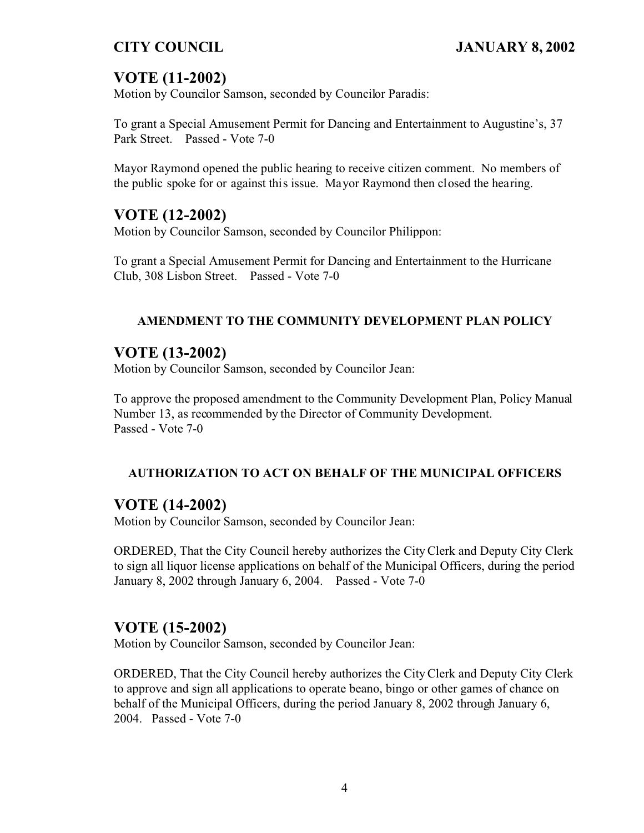# **VOTE (11-2002)**

Motion by Councilor Samson, seconded by Councilor Paradis:

To grant a Special Amusement Permit for Dancing and Entertainment to Augustine's, 37 Park Street. Passed - Vote 7-0

Mayor Raymond opened the public hearing to receive citizen comment. No members of the public spoke for or against this issue. Mayor Raymond then closed the hearing.

# **VOTE (12-2002)**

Motion by Councilor Samson, seconded by Councilor Philippon:

To grant a Special Amusement Permit for Dancing and Entertainment to the Hurricane Club, 308 Lisbon Street. Passed - Vote 7-0

### **AMENDMENT TO THE COMMUNITY DEVELOPMENT PLAN POLICY**

# **VOTE (13-2002)**

Motion by Councilor Samson, seconded by Councilor Jean:

To approve the proposed amendment to the Community Development Plan, Policy Manual Number 13, as recommended by the Director of Community Development. Passed - Vote 7-0

#### **AUTHORIZATION TO ACT ON BEHALF OF THE MUNICIPAL OFFICERS**

## **VOTE (14-2002)**

Motion by Councilor Samson, seconded by Councilor Jean:

ORDERED, That the City Council hereby authorizes the City Clerk and Deputy City Clerk to sign all liquor license applications on behalf of the Municipal Officers, during the period January 8, 2002 through January 6, 2004. Passed - Vote 7-0

# **VOTE (15-2002)**

Motion by Councilor Samson, seconded by Councilor Jean:

ORDERED, That the City Council hereby authorizes the City Clerk and Deputy City Clerk to approve and sign all applications to operate beano, bingo or other games of chance on behalf of the Municipal Officers, during the period January 8, 2002 through January 6, 2004. Passed - Vote 7-0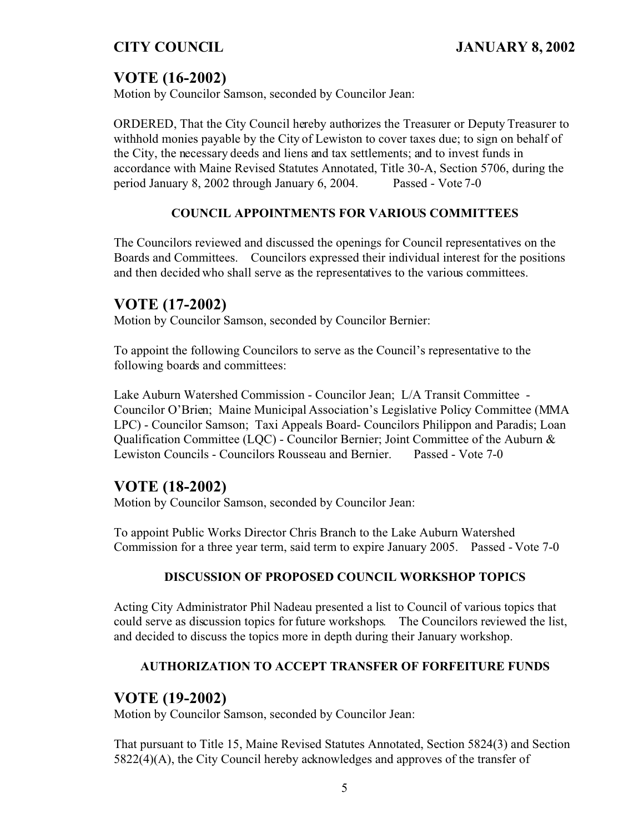# **VOTE (16-2002)**

Motion by Councilor Samson, seconded by Councilor Jean:

ORDERED, That the City Council hereby authorizes the Treasurer or Deputy Treasurer to withhold monies payable by the City of Lewiston to cover taxes due; to sign on behalf of the City, the necessary deeds and liens and tax settlements; and to invest funds in accordance with Maine Revised Statutes Annotated, Title 30-A, Section 5706, during the period January 8, 2002 through January 6, 2004. Passed - Vote 7-0

### **COUNCIL APPOINTMENTS FOR VARIOUS COMMITTEES**

The Councilors reviewed and discussed the openings for Council representatives on the Boards and Committees. Councilors expressed their individual interest for the positions and then decided who shall serve as the representatives to the various committees.

# **VOTE (17-2002)**

Motion by Councilor Samson, seconded by Councilor Bernier:

To appoint the following Councilors to serve as the Council's representative to the following boards and committees:

Lake Auburn Watershed Commission - Councilor Jean; L/A Transit Committee - Councilor O'Brien; Maine Municipal Association's Legislative Policy Committee (MMA LPC) - Councilor Samson; Taxi Appeals Board- Councilors Philippon and Paradis; Loan Qualification Committee (LQC) - Councilor Bernier; Joint Committee of the Auburn & Lewiston Councils - Councilors Rousseau and Bernier. Passed - Vote 7-0

# **VOTE (18-2002)**

Motion by Councilor Samson, seconded by Councilor Jean:

To appoint Public Works Director Chris Branch to the Lake Auburn Watershed Commission for a three year term, said term to expire January 2005. Passed - Vote 7-0

#### **DISCUSSION OF PROPOSED COUNCIL WORKSHOP TOPICS**

Acting City Administrator Phil Nadeau presented a list to Council of various topics that could serve as discussion topics for future workshops. The Councilors reviewed the list, and decided to discuss the topics more in depth during their January workshop.

## **AUTHORIZATION TO ACCEPT TRANSFER OF FORFEITURE FUNDS**

# **VOTE (19-2002)**

Motion by Councilor Samson, seconded by Councilor Jean:

That pursuant to Title 15, Maine Revised Statutes Annotated, Section 5824(3) and Section 5822(4)(A), the City Council hereby acknowledges and approves of the transfer of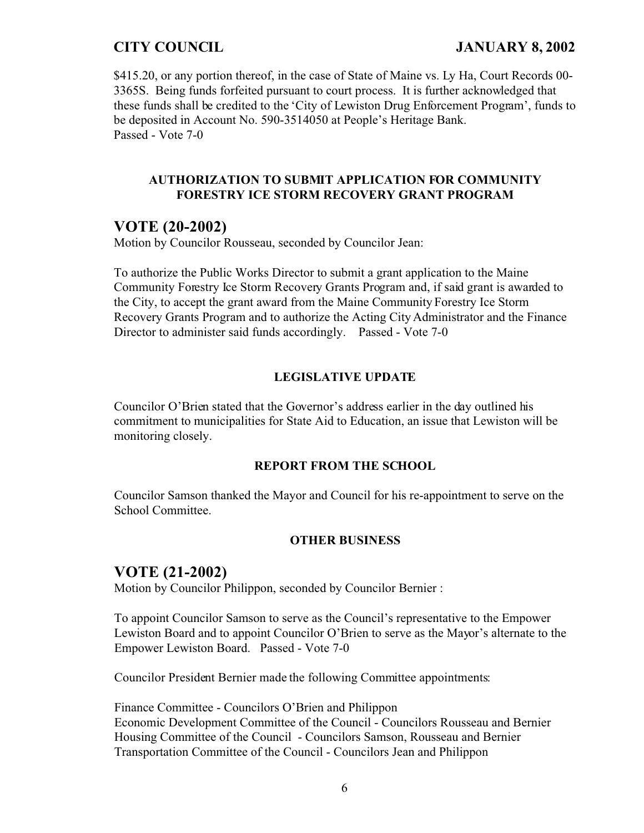\$415.20, or any portion thereof, in the case of State of Maine vs. Ly Ha, Court Records 00-3365S. Being funds forfeited pursuant to court process. It is further acknowledged that these funds shall be credited to the 'City of Lewiston Drug Enforcement Program', funds to be deposited in Account No. 590-3514050 at People's Heritage Bank. Passed - Vote 7-0

#### **AUTHORIZATION TO SUBMIT APPLICATION FOR COMMUNITY FORESTRY ICE STORM RECOVERY GRANT PROGRAM**

# **VOTE (20-2002)**

Motion by Councilor Rousseau, seconded by Councilor Jean:

To authorize the Public Works Director to submit a grant application to the Maine Community Forestry Ice Storm Recovery Grants Program and, if said grant is awarded to the City, to accept the grant award from the Maine Community Forestry Ice Storm Recovery Grants Program and to authorize the Acting City Administrator and the Finance Director to administer said funds accordingly. Passed - Vote 7-0

#### **LEGISLATIVE UPDATE**

Councilor O'Brien stated that the Governor's address earlier in the day outlined his commitment to municipalities for State Aid to Education, an issue that Lewiston will be monitoring closely.

#### **REPORT FROM THE SCHOOL**

Councilor Samson thanked the Mayor and Council for his re-appointment to serve on the School Committee.

#### **OTHER BUSINESS**

## **VOTE (21-2002)**

Motion by Councilor Philippon, seconded by Councilor Bernier :

To appoint Councilor Samson to serve as the Council's representative to the Empower Lewiston Board and to appoint Councilor O'Brien to serve as the Mayor's alternate to the Empower Lewiston Board. Passed - Vote 7-0

Councilor President Bernier made the following Committee appointments:

Finance Committee - Councilors O'Brien and Philippon Economic Development Committee of the Council - Councilors Rousseau and Bernier Housing Committee of the Council - Councilors Samson, Rousseau and Bernier Transportation Committee of the Council - Councilors Jean and Philippon